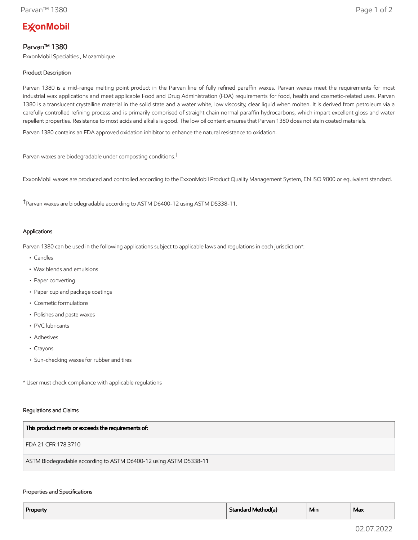# **ExconMobil**

# Parvan™ 1380

ExxonMobil Specialties , Mozambique

# Product Description

Parvan 1380 is a mid-range melting point product in the Parvan line of fully refined paraffin waxes. Parvan waxes meet the requirements for most industrial wax applications and meet applicable Food and Drug Administration (FDA) requirements for food, health and cosmetic-related uses. Parvan 1380 is a translucent crystalline material in the solid state and a water white, low viscosity, clear liquid when molten. It is derived from petroleum via a carefully controlled refining process and is primarily comprised of straight chain normal paraffin hydrocarbons, which impart excellent gloss and water repellent properties. Resistance to most acids and alkalis is good. The low oil content ensures that Parvan 1380 does not stain coated materials.

Parvan 1380 contains an FDA approved oxidation inhibitor to enhance the natural resistance to oxidation.

Parvan waxes are biodegradable under composting conditions.†

ExxonMobil waxes are produced and controlled according to the ExxonMobil Product Quality Management System, EN ISO 9000 or equivalent standard.

†Parvan waxes are biodegradable according to ASTM D6400-12 using ASTM D5338-11.

## Applications

Parvan 1380 can be used in the following applications subject to applicable laws and regulations in each jurisdiction\*:

- Candles
- Wax blends and emulsions
- Paper converting
- Paper cup and package coatings
- Cosmetic formulations
- Polishes and paste waxes
- PVC lubricants
- Adhesives
- Crayons
- Sun-checking waxes for rubber and tires

\* User must check compliance with applicable regulations

#### Regulations and Claims

| This product meets or exceeds the requirements of:                |
|-------------------------------------------------------------------|
| FDA 21 CFR 178.3710                                               |
| ASTM Biodegradable according to ASTM D6400-12 using ASTM D5338-11 |

### Properties and Specifications

| Property | Standard Method(a) | ` Min | Max |
|----------|--------------------|-------|-----|
|          |                    |       |     |